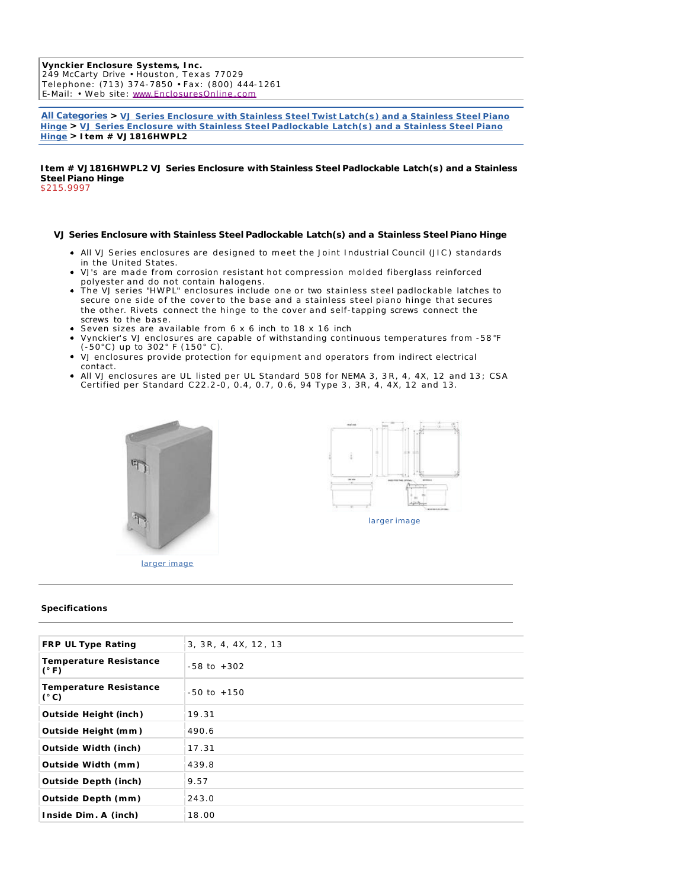**Vynckier Enclosure Systems, Inc.** 249 McCarty Drive • Houston , Texas 77029 Telephone: (713) 374-7850 • Fax: (800) 444-1261 E-Mail: • Web site : www.EnclosuresOnline .com

**All Categories > VJ Series Enclosure with Stainless Steel Twist Latch(s) and a Stainless Steel Piano Hinge > VJ Series Enclosure with Stainless Steel Padlockable Latch(s) and a Stainless Steel Piano Hinge > Item # VJ 1816HWPL2** 

**Item # VJ1816HWPL2 VJ Series Enclosure with Stainless Steel Padlockable Latch(s) and a Stainless Steel Piano Hinge** \$215.9997

## **VJ Series Enclosure with Stainless Steel Padlockable Latch(s) and a Stainless Steel Piano Hinge**

- All VJ Series enclosures are designed to meet the Joint Industrial Council (JIC ) standards in the United States.
- VJ's are made from corrosion resistant hot compression molded fiberglass reinforced polyester and do not contain halogens.
- The VJ series "HWPL" enclosures include one or two stainless steel padlockable latches to secure one side of the cover to the base and a stainless steel piano hinge that secures the other. Rivets connect the hinge to the cover and self-tapping screws connect the screws to the base.
- Seven sizes are available from 6 x 6 inch to 18 x 16 inch
- Vynckier's VJ enclosures are capable of withstanding continuous temperatures from -58 °F (-50°C) up to 302° F (150° C).
- VJ enclosures provide protection for equipment and operators from indirect electrical contact.
- All VJ enclosures are UL listed per UL Standard 508 for NEMA 3, 3R, 4, 4X, 12 and 13; CSA Certified per Standard C22.2 -0 , 0.4, 0.7, 0 .6, 94 Type 3 , 3R, 4, 4X, 12 and 13.





larger image

## **Specifications**

| <b>FRP UL Type Rating</b>                      | 3, 3R, 4, 4X, 12, 13 |
|------------------------------------------------|----------------------|
| <b>Temperature Resistance</b><br>$(^{\circ}F)$ | $-58$ to $+302$      |
| <b>Temperature Resistance</b><br>$(^{\circ}C)$ | $-50$ to $+150$      |
| Outside Height (inch)                          | 19.31                |
| Outside Height (mm)                            | 490.6                |
| <b>Outside Width (inch)</b>                    | 17.31                |
| Outside Width (mm)                             | 439.8                |
| <b>Outside Depth (inch)</b>                    | 9.57                 |
| Outside Depth (mm)                             | 243.0                |
| Inside Dim. A (inch)                           | 18.00                |